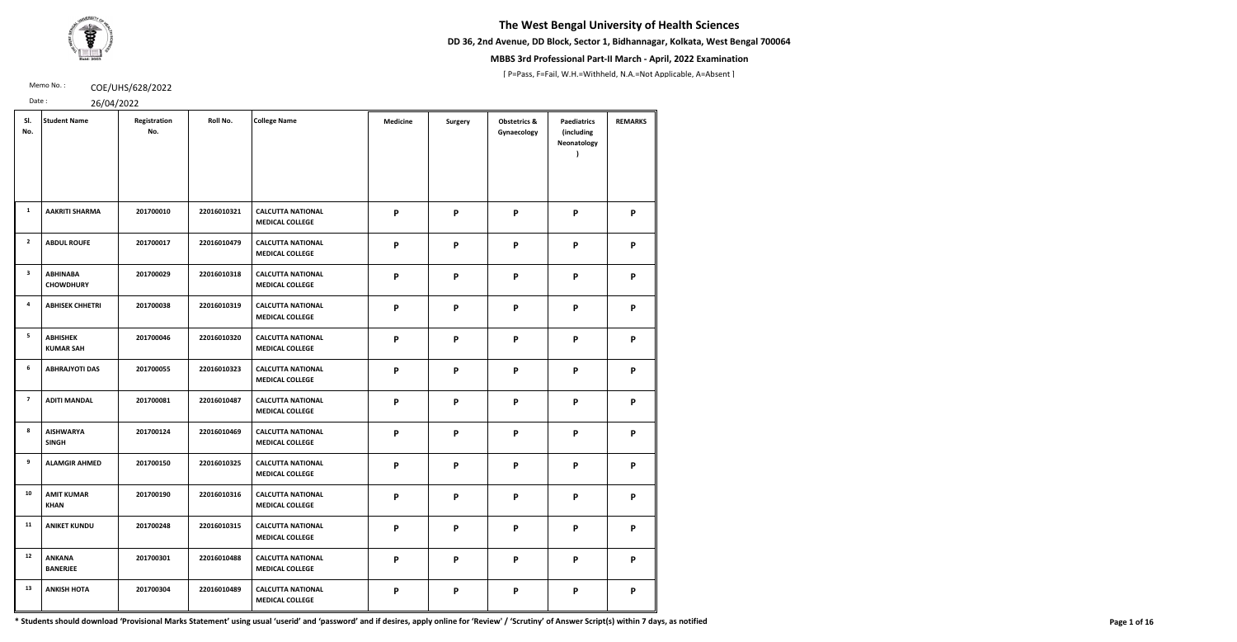**DD 36, 2nd Avenue, DD Block, Sector 1, Bidhannagar, Kolkata, West Bengal 700064**



## **MBBS 3rd Professional Part-II March - April, 2022 Examination**

[ P=Pass, F=Fail, W.H.=Withheld, N.A.=Not Applicable, A=Absent ]

Memo No.: **COE/UHS/628/2022** 

Date : 26/04/2022

|  | $\begin{array}{c} \hline \end{array}$ |  |
|--|---------------------------------------|--|

| SI.<br>No.              | <b>Student Name</b>                 | Registration<br>No. | Roll No.    | <b>College Name</b>                                | <b>Medicine</b>           | <b>Surgery</b> | <b>Obstetrics &amp;</b><br>Gynaecology | <b>Paediatrics</b><br>(including<br>Neonatology | <b>REMARKS</b> |
|-------------------------|-------------------------------------|---------------------|-------------|----------------------------------------------------|---------------------------|----------------|----------------------------------------|-------------------------------------------------|----------------|
| 1                       | <b>AAKRITI SHARMA</b>               | 201700010           | 22016010321 | <b>CALCUTTA NATIONAL</b><br><b>MEDICAL COLLEGE</b> | P                         | P              | P                                      | P                                               | P              |
| $\overline{2}$          | <b>ABDUL ROUFE</b>                  | 201700017           | 22016010479 | <b>CALCUTTA NATIONAL</b><br><b>MEDICAL COLLEGE</b> | $\mathsf{P}$              | P              | $\boldsymbol{\mathsf{P}}$              | P                                               | P              |
| $\overline{\mathbf{3}}$ | <b>ABHINABA</b><br><b>CHOWDHURY</b> | 201700029           | 22016010318 | <b>CALCUTTA NATIONAL</b><br><b>MEDICAL COLLEGE</b> | $\mathsf{P}$              | P              | P                                      | P                                               | P              |
| 4                       | <b>ABHISEK CHHETRI</b>              | 201700038           | 22016010319 | <b>CALCUTTA NATIONAL</b><br><b>MEDICAL COLLEGE</b> | $\mathsf{P}$              | $\mathsf{P}$   | $\boldsymbol{\mathsf{P}}$              | $\boldsymbol{\mathsf{P}}$                       | P              |
| 5                       | <b>ABHISHEK</b><br><b>KUMAR SAH</b> | 201700046           | 22016010320 | <b>CALCUTTA NATIONAL</b><br><b>MEDICAL COLLEGE</b> | $\mathsf{P}$              | P              | $\boldsymbol{\mathsf{P}}$              | P                                               | P              |
| $6\phantom{.}6$         | <b>ABHRAJYOTI DAS</b>               | 201700055           | 22016010323 | <b>CALCUTTA NATIONAL</b><br><b>MEDICAL COLLEGE</b> | $\mathsf{P}$              | P              | $\boldsymbol{\mathsf{P}}$              | P                                               | P              |
| $\overline{7}$          | <b>ADITI MANDAL</b>                 | 201700081           | 22016010487 | <b>CALCUTTA NATIONAL</b><br><b>MEDICAL COLLEGE</b> | $\mathsf{P}$              | P              | P                                      | P                                               | P              |
| 8                       | <b>AISHWARYA</b><br><b>SINGH</b>    | 201700124           | 22016010469 | <b>CALCUTTA NATIONAL</b><br><b>MEDICAL COLLEGE</b> | P                         | P              | P                                      | P                                               | P              |
| 9                       | <b>ALAMGIR AHMED</b>                | 201700150           | 22016010325 | <b>CALCUTTA NATIONAL</b><br><b>MEDICAL COLLEGE</b> | P                         | P              | P                                      | P                                               | P              |
| 10                      | <b>AMIT KUMAR</b><br><b>KHAN</b>    | 201700190           | 22016010316 | <b>CALCUTTA NATIONAL</b><br><b>MEDICAL COLLEGE</b> | $\mathsf{P}$              | P              | P                                      | P                                               | P              |
| 11                      | <b>ANIKET KUNDU</b>                 | 201700248           | 22016010315 | <b>CALCUTTA NATIONAL</b><br><b>MEDICAL COLLEGE</b> | $\mathsf{P}$              | P              | P                                      | P                                               | P              |
| 12                      | <b>ANKANA</b><br><b>BANERJEE</b>    | 201700301           | 22016010488 | <b>CALCUTTA NATIONAL</b><br><b>MEDICAL COLLEGE</b> | $\mathsf{P}$              | $\mathsf{P}$   | P                                      | P                                               | P              |
| 13                      | <b>ANKISH HOTA</b>                  | 201700304           | 22016010489 | <b>CALCUTTA NATIONAL</b><br><b>MEDICAL COLLEGE</b> | $\boldsymbol{\mathsf{P}}$ | P              | P                                      | P                                               | P              |

\* Students should download 'Provisional Marks Statement' using usual 'userid' and 'password' and if desires, apply online for 'Review' / 'Scrutiny' of Answer Script(s) within 7 days, as notified Page 1 of 16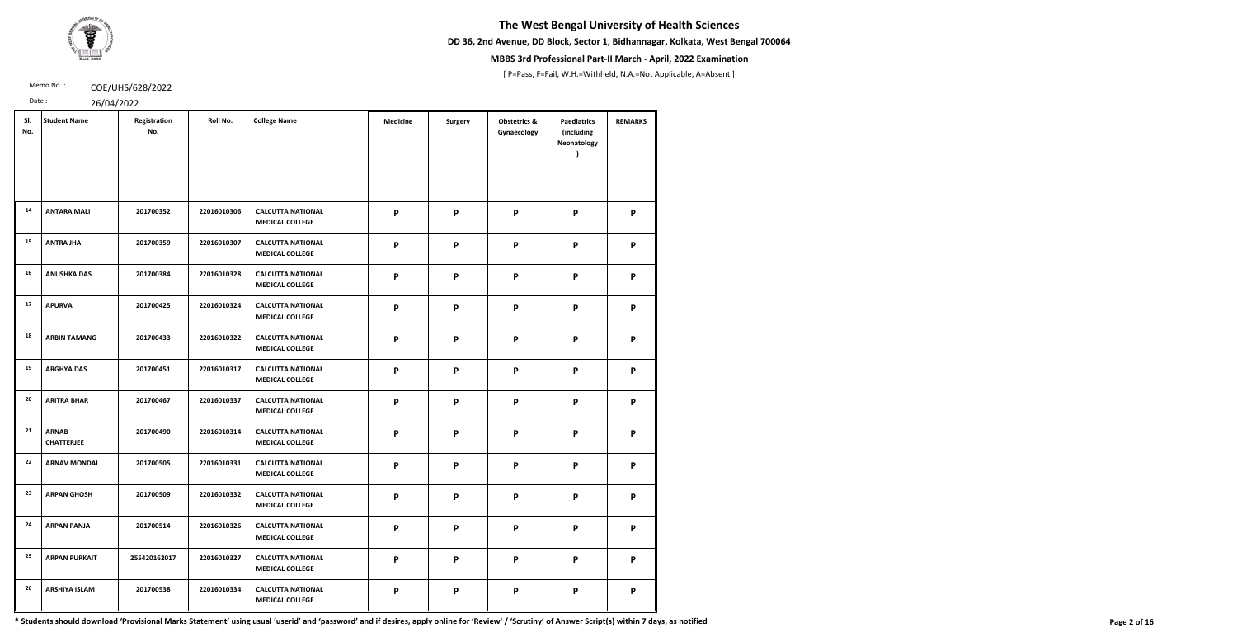**DD 36, 2nd Avenue, DD Block, Sector 1, Bidhannagar, Kolkata, West Bengal 700064**



## **MBBS 3rd Professional Part-II March - April, 2022 Examination**

[ P=Pass, F=Fail, W.H.=Withheld, N.A.=Not Applicable, A=Absent ]

Memo No.: **COE/UHS/628/2022** 

Date : 26/04/2022

| SI.<br>No. | <b>Student Name</b>               | Registration<br>No. | Roll No.    | <b>College Name</b>                                | <b>Medicine</b> | <b>Surgery</b> | <b>Obstetrics &amp;</b><br>Gynaecology | <b>Paediatrics</b><br>(including<br>Neonatology | <b>REMARKS</b> |
|------------|-----------------------------------|---------------------|-------------|----------------------------------------------------|-----------------|----------------|----------------------------------------|-------------------------------------------------|----------------|
| 14         | <b>ANTARA MALI</b>                | 201700352           | 22016010306 | <b>CALCUTTA NATIONAL</b><br><b>MEDICAL COLLEGE</b> | P               | P              | P                                      | P                                               | P              |
| 15         | <b>ANTRA JHA</b>                  | 201700359           | 22016010307 | <b>CALCUTTA NATIONAL</b><br><b>MEDICAL COLLEGE</b> | P               | P              | P                                      | P                                               | P              |
| 16         | <b>ANUSHKA DAS</b>                | 201700384           | 22016010328 | <b>CALCUTTA NATIONAL</b><br><b>MEDICAL COLLEGE</b> | $\mathsf{P}$    | $\mathsf{P}$   | P                                      | $\boldsymbol{\mathsf{P}}$                       | P              |
| 17         | <b>APURVA</b>                     | 201700425           | 22016010324 | <b>CALCUTTA NATIONAL</b><br><b>MEDICAL COLLEGE</b> | P               | P              | P                                      | P                                               | P              |
| 18         | <b>ARBIN TAMANG</b>               | 201700433           | 22016010322 | <b>CALCUTTA NATIONAL</b><br><b>MEDICAL COLLEGE</b> | P               | P              | P                                      | P                                               | P              |
| 19         | <b>ARGHYA DAS</b>                 | 201700451           | 22016010317 | <b>CALCUTTA NATIONAL</b><br><b>MEDICAL COLLEGE</b> | P               | P              | P                                      | P                                               | P              |
| 20         | <b>ARITRA BHAR</b>                | 201700467           | 22016010337 | <b>CALCUTTA NATIONAL</b><br><b>MEDICAL COLLEGE</b> | P               | P              | P                                      | $\boldsymbol{\mathsf{P}}$                       | P              |
| 21         | <b>ARNAB</b><br><b>CHATTERJEE</b> | 201700490           | 22016010314 | <b>CALCUTTA NATIONAL</b><br><b>MEDICAL COLLEGE</b> | P               | P              | P                                      | P                                               | P              |
| 22         | <b>ARNAV MONDAL</b>               | 201700505           | 22016010331 | <b>CALCUTTA NATIONAL</b><br><b>MEDICAL COLLEGE</b> | P               | P              | P                                      | P                                               | P              |
| 23         | <b>ARPAN GHOSH</b>                | 201700509           | 22016010332 | <b>CALCUTTA NATIONAL</b><br><b>MEDICAL COLLEGE</b> | P               | P              | P                                      | P                                               | P              |
| 24         | <b>ARPAN PANJA</b>                | 201700514           | 22016010326 | <b>CALCUTTA NATIONAL</b><br><b>MEDICAL COLLEGE</b> | P               | P              | P                                      | P                                               | P              |
| 25         | <b>ARPAN PURKAIT</b>              | 255420162017        | 22016010327 | <b>CALCUTTA NATIONAL</b><br><b>MEDICAL COLLEGE</b> | P               | P              | P                                      | P                                               | P              |
| 26         | <b>ARSHIYA ISLAM</b>              | 201700538           | 22016010334 | <b>CALCUTTA NATIONAL</b><br><b>MEDICAL COLLEGE</b> | P               | P              | P                                      | P                                               | P              |

\* Students should download 'Provisional Marks Statement' using usual 'userid' and 'password' and if desires, apply online for 'Review' / 'Scrutiny' of Answer Script(s) within 7 days, as notified Page 2 of 16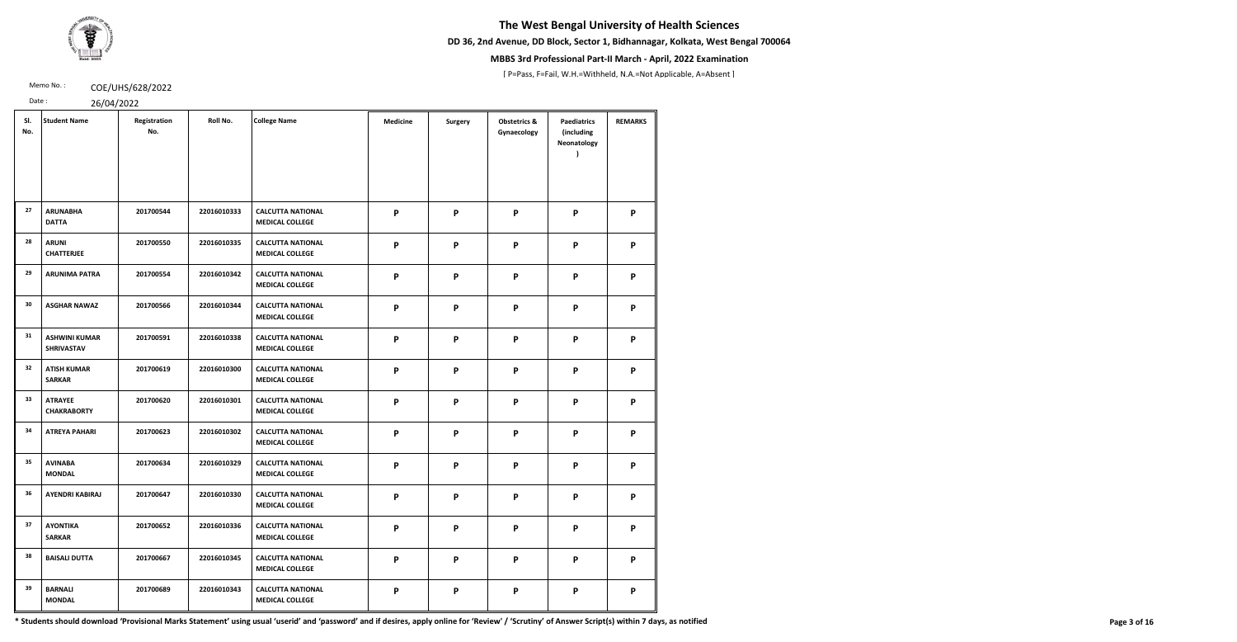**DD 36, 2nd Avenue, DD Block, Sector 1, Bidhannagar, Kolkata, West Bengal 700064**



## **MBBS 3rd Professional Part-II March - April, 2022 Examination**

[ P=Pass, F=Fail, W.H.=Withheld, N.A.=Not Applicable, A=Absent ]

Memo No.: **COE/UHS/628/2022** 

Date : 26/04/2022

| SI.<br>No. | <b>Student Name</b>                       | Registration<br>No. | Roll No.    | <b>College Name</b>                                | <b>Medicine</b> | <b>Surgery</b> | <b>Obstetrics &amp;</b><br>Gynaecology | <b>Paediatrics</b><br>(including<br>Neonatology | <b>REMARKS</b> |
|------------|-------------------------------------------|---------------------|-------------|----------------------------------------------------|-----------------|----------------|----------------------------------------|-------------------------------------------------|----------------|
| 27         | <b>ARUNABHA</b><br><b>DATTA</b>           | 201700544           | 22016010333 | <b>CALCUTTA NATIONAL</b><br><b>MEDICAL COLLEGE</b> | P               | P              | P                                      | P                                               | P              |
| 28         | <b>ARUNI</b><br><b>CHATTERJEE</b>         | 201700550           | 22016010335 | <b>CALCUTTA NATIONAL</b><br><b>MEDICAL COLLEGE</b> | P               | P              | P                                      | P                                               | P              |
| 29         | <b>ARUNIMA PATRA</b>                      | 201700554           | 22016010342 | <b>CALCUTTA NATIONAL</b><br><b>MEDICAL COLLEGE</b> | P               | P              | $\boldsymbol{\mathsf{P}}$              | P                                               | P              |
| 30         | <b>ASGHAR NAWAZ</b>                       | 201700566           | 22016010344 | <b>CALCUTTA NATIONAL</b><br><b>MEDICAL COLLEGE</b> | P               | P              | P                                      | P                                               | P              |
| 31         | <b>ASHWINI KUMAR</b><br><b>SHRIVASTAV</b> | 201700591           | 22016010338 | <b>CALCUTTA NATIONAL</b><br><b>MEDICAL COLLEGE</b> | P               | P              | P                                      | P                                               | P              |
| 32         | <b>ATISH KUMAR</b><br><b>SARKAR</b>       | 201700619           | 22016010300 | <b>CALCUTTA NATIONAL</b><br><b>MEDICAL COLLEGE</b> | P               | P              | $\boldsymbol{\mathsf{P}}$              | P                                               | P              |
| 33         | <b>ATRAYEE</b><br><b>CHAKRABORTY</b>      | 201700620           | 22016010301 | <b>CALCUTTA NATIONAL</b><br><b>MEDICAL COLLEGE</b> | P               | P              | $\boldsymbol{\mathsf{P}}$              | P                                               | P              |
| 34         | <b>ATREYA PAHARI</b>                      | 201700623           | 22016010302 | <b>CALCUTTA NATIONAL</b><br><b>MEDICAL COLLEGE</b> | P               | P              | P                                      | P                                               | P              |
| 35         | <b>AVINABA</b><br><b>MONDAL</b>           | 201700634           | 22016010329 | <b>CALCUTTA NATIONAL</b><br><b>MEDICAL COLLEGE</b> | P               | P              | P                                      | P                                               | P              |
| 36         | <b>AYENDRI KABIRAJ</b>                    | 201700647           | 22016010330 | <b>CALCUTTA NATIONAL</b><br><b>MEDICAL COLLEGE</b> | P               | P              | P                                      | P                                               | P              |
| 37         | <b>AYONTIKA</b><br><b>SARKAR</b>          | 201700652           | 22016010336 | <b>CALCUTTA NATIONAL</b><br><b>MEDICAL COLLEGE</b> | P               | P              | P                                      | P                                               | P              |
| 38         | <b>BAISALI DUTTA</b>                      | 201700667           | 22016010345 | <b>CALCUTTA NATIONAL</b><br><b>MEDICAL COLLEGE</b> | P               | P              | P                                      | P                                               | P              |
| 39         | <b>BARNALI</b><br><b>MONDAL</b>           | 201700689           | 22016010343 | <b>CALCUTTA NATIONAL</b><br><b>MEDICAL COLLEGE</b> | P               | P              | P                                      | P                                               | P              |

\* Students should download 'Provisional Marks Statement' using usual 'userid' and 'password' and if desires, apply online for 'Review' / 'Scrutiny' of Answer Script(s) within 7 days, as notified Page 3 of 16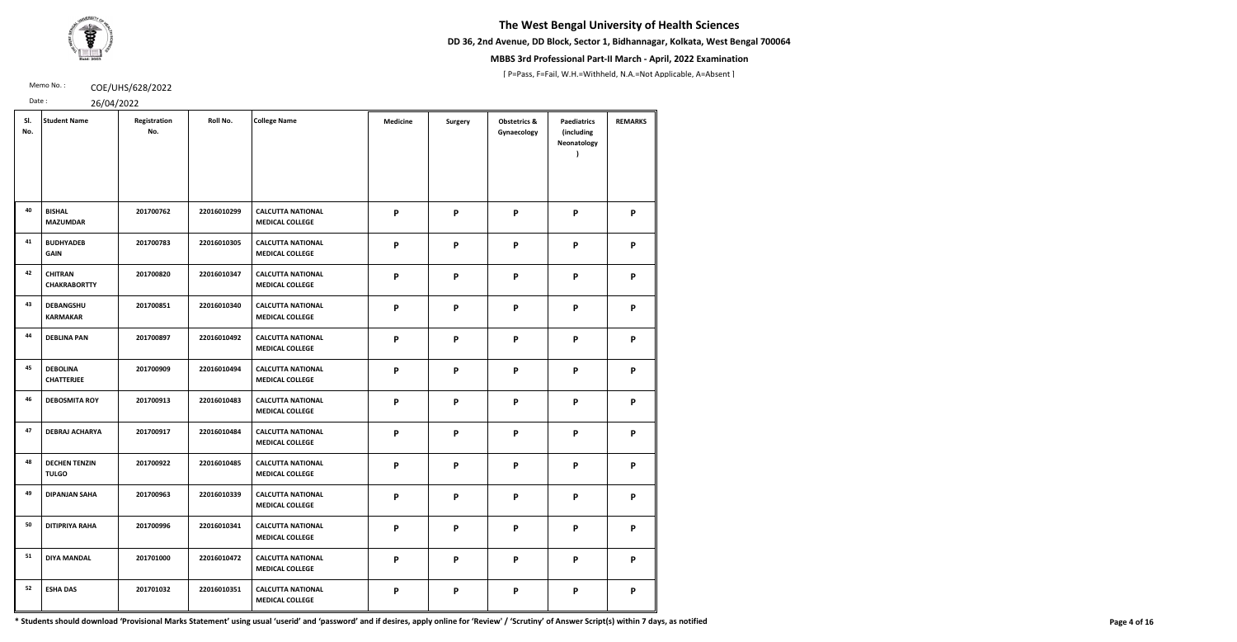**DD 36, 2nd Avenue, DD Block, Sector 1, Bidhannagar, Kolkata, West Bengal 700064**



## **MBBS 3rd Professional Part-II March - April, 2022 Examination**

[ P=Pass, F=Fail, W.H.=Withheld, N.A.=Not Applicable, A=Absent ]

Memo No.: **COE/UHS/628/2022** 

Date : 26/04/2022

|  | 20101 |  |
|--|-------|--|

| SI.<br>No. | <b>Student Name</b>                   | Registration<br>No. | Roll No.    | <b>College Name</b>                                | <b>Medicine</b> | <b>Surgery</b> | <b>Obstetrics &amp;</b><br>Gynaecology | <b>Paediatrics</b><br>(including<br>Neonatology | <b>REMARKS</b> |
|------------|---------------------------------------|---------------------|-------------|----------------------------------------------------|-----------------|----------------|----------------------------------------|-------------------------------------------------|----------------|
| 40         | <b>BISHAL</b><br><b>MAZUMDAR</b>      | 201700762           | 22016010299 | <b>CALCUTTA NATIONAL</b><br><b>MEDICAL COLLEGE</b> | P               | P              | P                                      | P                                               | P              |
| 41         | <b>BUDHYADEB</b><br><b>GAIN</b>       | 201700783           | 22016010305 | <b>CALCUTTA NATIONAL</b><br><b>MEDICAL COLLEGE</b> | P               | P              | P                                      | P                                               | P              |
| 42         | <b>CHITRAN</b><br><b>CHAKRABORTTY</b> | 201700820           | 22016010347 | <b>CALCUTTA NATIONAL</b><br><b>MEDICAL COLLEGE</b> | P               | P              | P                                      | P                                               | P              |
| 43         | <b>DEBANGSHU</b><br><b>KARMAKAR</b>   | 201700851           | 22016010340 | <b>CALCUTTA NATIONAL</b><br><b>MEDICAL COLLEGE</b> | P               | P              | P                                      | P                                               | P              |
| 44         | <b>DEBLINA PAN</b>                    | 201700897           | 22016010492 | <b>CALCUTTA NATIONAL</b><br><b>MEDICAL COLLEGE</b> | $\mathsf{P}$    | P              | P                                      | P                                               | P              |
| 45         | <b>DEBOLINA</b><br><b>CHATTERJEE</b>  | 201700909           | 22016010494 | <b>CALCUTTA NATIONAL</b><br><b>MEDICAL COLLEGE</b> | P               | P              | P                                      | P                                               | P              |
| 46         | <b>DEBOSMITA ROY</b>                  | 201700913           | 22016010483 | <b>CALCUTTA NATIONAL</b><br><b>MEDICAL COLLEGE</b> | P               | P              | P                                      | P                                               | P              |
| 47         | <b>DEBRAJ ACHARYA</b>                 | 201700917           | 22016010484 | <b>CALCUTTA NATIONAL</b><br><b>MEDICAL COLLEGE</b> | P               | P              | P                                      | P                                               | P              |
| 48         | <b>DECHEN TENZIN</b><br><b>TULGO</b>  | 201700922           | 22016010485 | <b>CALCUTTA NATIONAL</b><br><b>MEDICAL COLLEGE</b> | P               | P              | P                                      | P                                               | P              |
| 49         | <b>DIPANJAN SAHA</b>                  | 201700963           | 22016010339 | <b>CALCUTTA NATIONAL</b><br><b>MEDICAL COLLEGE</b> | P               | P              | P                                      | P                                               | P              |
| 50         | <b>DITIPRIYA RAHA</b>                 | 201700996           | 22016010341 | <b>CALCUTTA NATIONAL</b><br><b>MEDICAL COLLEGE</b> | P               | P              | P                                      | P                                               | P              |
| 51         | <b>DIYA MANDAL</b>                    | 201701000           | 22016010472 | <b>CALCUTTA NATIONAL</b><br><b>MEDICAL COLLEGE</b> | P               | P              | P                                      | P                                               | P              |
| 52         | <b>ESHA DAS</b>                       | 201701032           | 22016010351 | <b>CALCUTTA NATIONAL</b><br><b>MEDICAL COLLEGE</b> | P               | P              | P                                      | P                                               | P              |

\* Students should download 'Provisional Marks Statement' using usual 'userid' and 'password' and if desires, apply online for 'Review' / 'Scrutiny' of Answer Script(s) within 7 days, as notified Page 4 of 16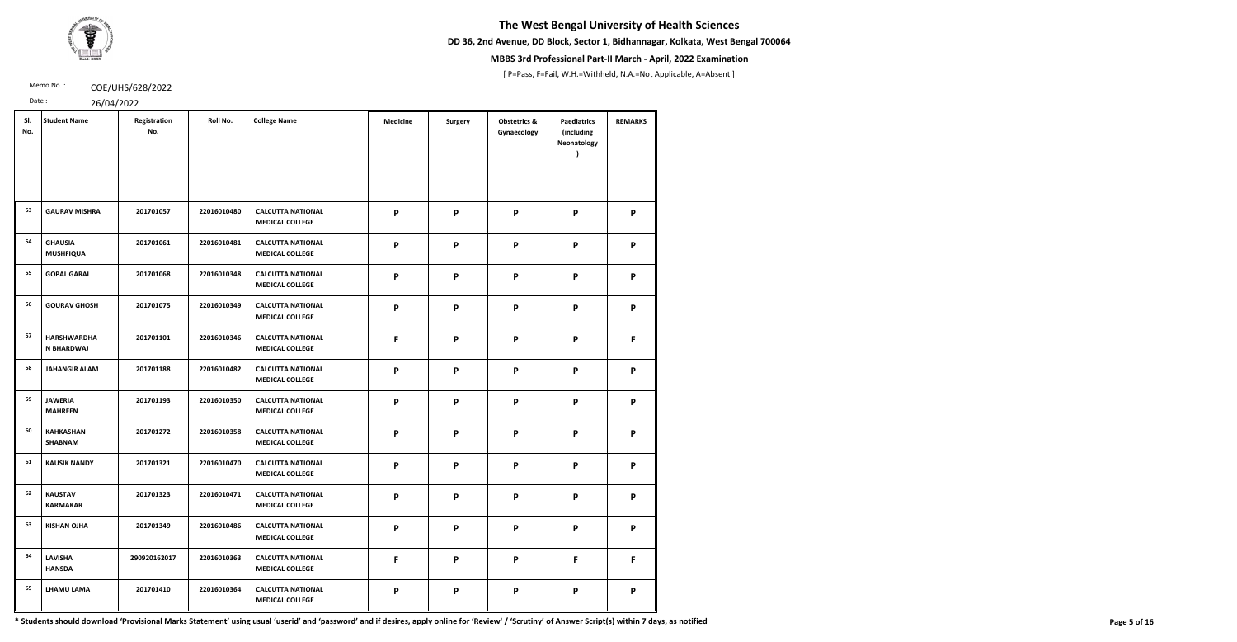**DD 36, 2nd Avenue, DD Block, Sector 1, Bidhannagar, Kolkata, West Bengal 700064**



## **MBBS 3rd Professional Part-II March - April, 2022 Examination**

[ P=Pass, F=Fail, W.H.=Withheld, N.A.=Not Applicable, A=Absent ]

Memo No.: **COE/UHS/628/2022** 

Date : 26/04/2022

| 2001212222 |  |  |  |
|------------|--|--|--|

| SI.<br>No. | <b>Student Name</b>                     | Registration<br>No. | Roll No.    | <b>College Name</b>                                | <b>Medicine</b> | <b>Surgery</b> | <b>Obstetrics &amp;</b><br>Gynaecology | <b>Paediatrics</b><br>(including<br>Neonatology | <b>REMARKS</b> |
|------------|-----------------------------------------|---------------------|-------------|----------------------------------------------------|-----------------|----------------|----------------------------------------|-------------------------------------------------|----------------|
| 53         | <b>GAURAV MISHRA</b>                    | 201701057           | 22016010480 | <b>CALCUTTA NATIONAL</b><br><b>MEDICAL COLLEGE</b> | P               | P              | P                                      | P                                               | P              |
| 54         | <b>GHAUSIA</b><br><b>MUSHFIQUA</b>      | 201701061           | 22016010481 | <b>CALCUTTA NATIONAL</b><br><b>MEDICAL COLLEGE</b> | P               | P              | P                                      | P                                               | P              |
| 55         | <b>GOPAL GARAI</b>                      | 201701068           | 22016010348 | <b>CALCUTTA NATIONAL</b><br><b>MEDICAL COLLEGE</b> | P               | P              | P                                      | P                                               | P              |
| 56         | <b>GOURAV GHOSH</b>                     | 201701075           | 22016010349 | <b>CALCUTTA NATIONAL</b><br><b>MEDICAL COLLEGE</b> | P               | P              | P                                      | P                                               | P              |
| 57         | <b>HARSHWARDHA</b><br><b>N BHARDWAJ</b> | 201701101           | 22016010346 | <b>CALCUTTA NATIONAL</b><br><b>MEDICAL COLLEGE</b> | F               | P              | P                                      | P                                               | F              |
| 58         | <b>JAHANGIR ALAM</b>                    | 201701188           | 22016010482 | <b>CALCUTTA NATIONAL</b><br><b>MEDICAL COLLEGE</b> | P               | P              | P                                      | P                                               | P              |
| 59         | <b>JAWERIA</b><br><b>MAHREEN</b>        | 201701193           | 22016010350 | <b>CALCUTTA NATIONAL</b><br><b>MEDICAL COLLEGE</b> | P               | P              | P                                      | P                                               | P              |
| 60         | <b>KAHKASHAN</b><br><b>SHABNAM</b>      | 201701272           | 22016010358 | <b>CALCUTTA NATIONAL</b><br><b>MEDICAL COLLEGE</b> | P               | P              | P                                      | P                                               | P              |
| 61         | <b>KAUSIK NANDY</b>                     | 201701321           | 22016010470 | <b>CALCUTTA NATIONAL</b><br><b>MEDICAL COLLEGE</b> | P               | P              | P                                      | P                                               | P              |
| 62         | <b>KAUSTAV</b><br><b>KARMAKAR</b>       | 201701323           | 22016010471 | <b>CALCUTTA NATIONAL</b><br><b>MEDICAL COLLEGE</b> | P               | P              | P                                      | P                                               | P              |
| 63         | <b>KISHAN OJHA</b>                      | 201701349           | 22016010486 | <b>CALCUTTA NATIONAL</b><br><b>MEDICAL COLLEGE</b> | P               | P              | P                                      | P                                               | P              |
| 64         | <b>LAVISHA</b><br><b>HANSDA</b>         | 290920162017        | 22016010363 | <b>CALCUTTA NATIONAL</b><br><b>MEDICAL COLLEGE</b> | $\mathsf{F}$    | P              | P                                      | $\mathsf{F}$                                    | F              |
| 65         | <b>LHAMU LAMA</b>                       | 201701410           | 22016010364 | <b>CALCUTTA NATIONAL</b><br><b>MEDICAL COLLEGE</b> | P               | P              | P                                      | P                                               | P              |

\* Students should download 'Provisional Marks Statement' using usual 'userid' and 'password' and if desires, apply online for 'Review' / 'Scrutiny' of Answer Script(s) within 7 days, as notified Page 5 of 16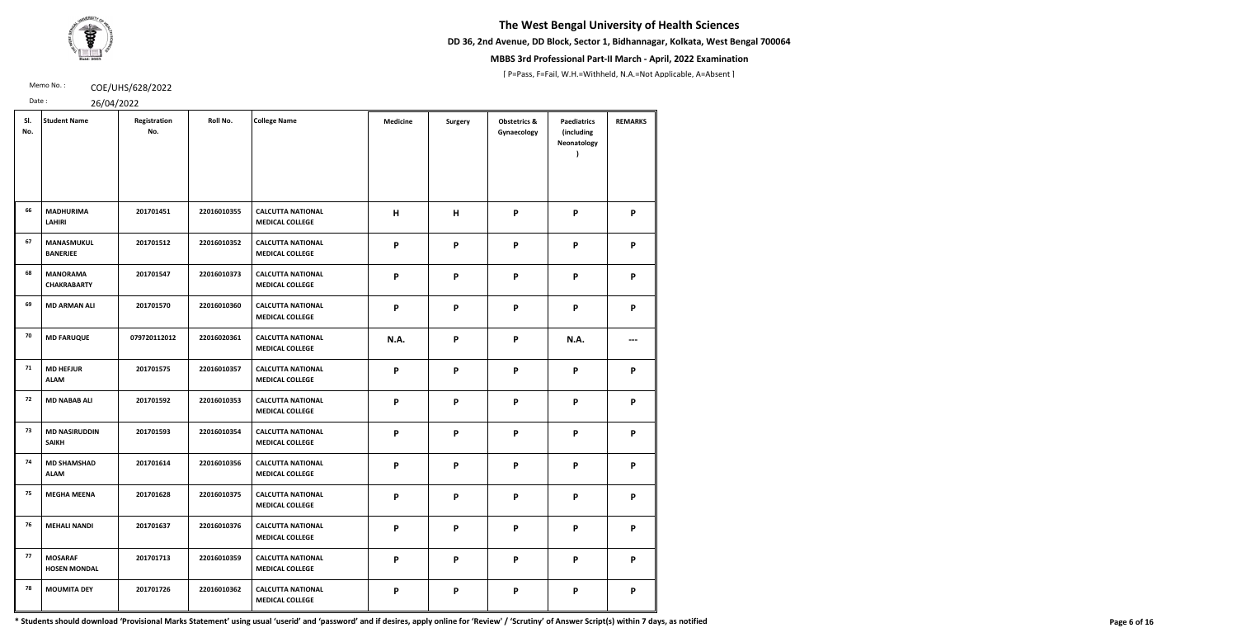**DD 36, 2nd Avenue, DD Block, Sector 1, Bidhannagar, Kolkata, West Bengal 700064**



## **MBBS 3rd Professional Part-II March - April, 2022 Examination**

[ P=Pass, F=Fail, W.H.=Withheld, N.A.=Not Applicable, A=Absent ]

Memo No.: **COE/UHS/628/2022** 

Date : 26/04/2022

|  | 20/201/2022 |  |
|--|-------------|--|

| SI.<br>No. | <b>Student Name</b>                   | Registration<br>No. | Roll No.    | <b>College Name</b>                                | <b>Medicine</b>           | <b>Surgery</b> | <b>Obstetrics &amp;</b><br>Gynaecology | <b>Paediatrics</b><br>(including<br>Neonatology | <b>REMARKS</b> |
|------------|---------------------------------------|---------------------|-------------|----------------------------------------------------|---------------------------|----------------|----------------------------------------|-------------------------------------------------|----------------|
| 66         | <b>MADHURIMA</b><br><b>LAHIRI</b>     | 201701451           | 22016010355 | <b>CALCUTTA NATIONAL</b><br><b>MEDICAL COLLEGE</b> | H                         | H              | P                                      | P                                               | P              |
| 67         | <b>MANASMUKUL</b><br><b>BANERJEE</b>  | 201701512           | 22016010352 | <b>CALCUTTA NATIONAL</b><br><b>MEDICAL COLLEGE</b> | $\boldsymbol{\mathsf{P}}$ | P              | P                                      | P                                               | P              |
| 68         | <b>MANORAMA</b><br><b>CHAKRABARTY</b> | 201701547           | 22016010373 | <b>CALCUTTA NATIONAL</b><br><b>MEDICAL COLLEGE</b> | $\boldsymbol{\mathsf{P}}$ | P              | P                                      | P                                               | P              |
| 69         | <b>MD ARMAN ALI</b>                   | 201701570           | 22016010360 | <b>CALCUTTA NATIONAL</b><br><b>MEDICAL COLLEGE</b> | $\boldsymbol{\mathsf{P}}$ | $\mathsf{P}$   | P                                      | $\boldsymbol{\mathsf{P}}$                       | P              |
| 70         | <b>MD FARUQUE</b>                     | 079720112012        | 22016020361 | <b>CALCUTTA NATIONAL</b><br><b>MEDICAL COLLEGE</b> | N.A.                      | P              | P                                      | N.A.                                            |                |
| 71         | <b>MD HEFJUR</b><br><b>ALAM</b>       | 201701575           | 22016010357 | <b>CALCUTTA NATIONAL</b><br><b>MEDICAL COLLEGE</b> | $\boldsymbol{\mathsf{P}}$ | P              | P                                      | $\mathsf{P}$                                    | P              |
| 72         | <b>MD NABAB ALI</b>                   | 201701592           | 22016010353 | <b>CALCUTTA NATIONAL</b><br><b>MEDICAL COLLEGE</b> | $\boldsymbol{\mathsf{P}}$ | P              | P                                      | $\boldsymbol{\mathsf{P}}$                       | P              |
| 73         | <b>MD NASIRUDDIN</b><br><b>SAIKH</b>  | 201701593           | 22016010354 | <b>CALCUTTA NATIONAL</b><br><b>MEDICAL COLLEGE</b> | $\boldsymbol{\mathsf{P}}$ | $\mathsf{P}$   | $\boldsymbol{\mathsf{P}}$              | P                                               | P              |
| 74         | <b>MD SHAMSHAD</b><br><b>ALAM</b>     | 201701614           | 22016010356 | <b>CALCUTTA NATIONAL</b><br><b>MEDICAL COLLEGE</b> | $\boldsymbol{\mathsf{P}}$ | P              | P                                      | $\boldsymbol{\mathsf{P}}$                       | P              |
| 75         | <b>MEGHA MEENA</b>                    | 201701628           | 22016010375 | <b>CALCUTTA NATIONAL</b><br><b>MEDICAL COLLEGE</b> | P                         | P              | P                                      | P                                               | P              |
| 76         | <b>MEHALI NANDI</b>                   | 201701637           | 22016010376 | <b>CALCUTTA NATIONAL</b><br><b>MEDICAL COLLEGE</b> | P                         | P              | P                                      | P                                               | P              |
| 77         | <b>MOSARAF</b><br><b>HOSEN MONDAL</b> | 201701713           | 22016010359 | <b>CALCUTTA NATIONAL</b><br><b>MEDICAL COLLEGE</b> | P                         | P              | P                                      | P                                               | P              |
| 78         | <b>MOUMITA DEY</b>                    | 201701726           | 22016010362 | <b>CALCUTTA NATIONAL</b><br><b>MEDICAL COLLEGE</b> | P                         | P              | P                                      | P                                               | P              |

\* Students should download 'Provisional Marks Statement' using usual 'userid' and 'password' and if desires, apply online for 'Review' / 'Scrutiny' of Answer Script(s) within 7 days, as notified Page 6 of 16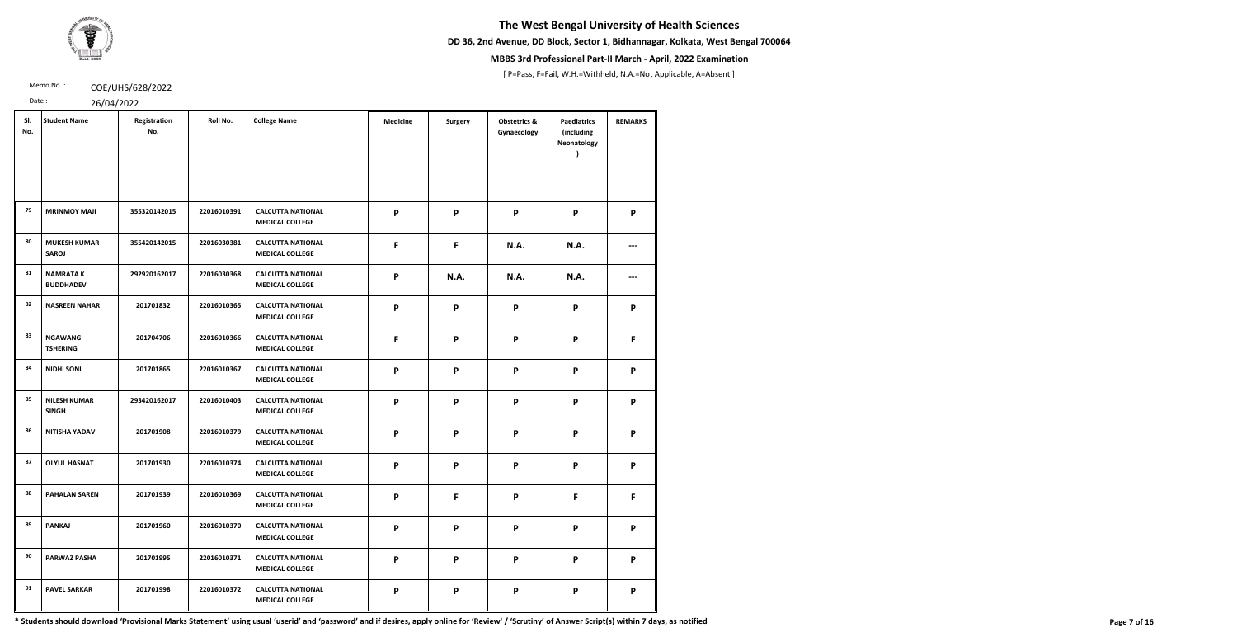**DD 36, 2nd Avenue, DD Block, Sector 1, Bidhannagar, Kolkata, West Bengal 700064**



## **MBBS 3rd Professional Part-II March - April, 2022 Examination**

[ P=Pass, F=Fail, W.H.=Withheld, N.A.=Not Applicable, A=Absent ]

Memo No.: **COE/UHS/628/2022** 

Date : 26/04/2022

|  | 20101 |  |
|--|-------|--|

| SI.<br>No. | <b>Student Name</b>                 | Registration<br>No. | Roll No.    | <b>College Name</b>                                | <b>Medicine</b>           | <b>Surgery</b> | <b>Obstetrics &amp;</b><br>Gynaecology | <b>Paediatrics</b><br>(including<br>Neonatology | <b>REMARKS</b> |
|------------|-------------------------------------|---------------------|-------------|----------------------------------------------------|---------------------------|----------------|----------------------------------------|-------------------------------------------------|----------------|
| 79         | <b>MRINMOY MAJI</b>                 | 355320142015        | 22016010391 | <b>CALCUTTA NATIONAL</b><br><b>MEDICAL COLLEGE</b> | P                         | P              | P                                      | P                                               | P              |
| 80         | <b>MUKESH KUMAR</b><br><b>SAROJ</b> | 355420142015        | 22016030381 | <b>CALCUTTA NATIONAL</b><br><b>MEDICAL COLLEGE</b> | F                         | F              | <b>N.A.</b>                            | <b>N.A.</b>                                     |                |
| 81         | <b>NAMRATAK</b><br><b>BUDDHADEV</b> | 292920162017        | 22016030368 | <b>CALCUTTA NATIONAL</b><br><b>MEDICAL COLLEGE</b> | P                         | <b>N.A.</b>    | N.A.                                   | <b>N.A.</b>                                     |                |
| 82         | <b>NASREEN NAHAR</b>                | 201701832           | 22016010365 | <b>CALCUTTA NATIONAL</b><br><b>MEDICAL COLLEGE</b> | P                         | P              | $\boldsymbol{\mathsf{P}}$              | P                                               | P              |
| 83         | <b>NGAWANG</b><br><b>TSHERING</b>   | 201704706           | 22016010366 | <b>CALCUTTA NATIONAL</b><br><b>MEDICAL COLLEGE</b> | F                         | P              | $\mathsf{P}$                           | $\mathsf{P}$                                    | F              |
| 84         | <b>NIDHI SONI</b>                   | 201701865           | 22016010367 | <b>CALCUTTA NATIONAL</b><br><b>MEDICAL COLLEGE</b> | $\boldsymbol{\mathsf{P}}$ | P              | $\boldsymbol{\mathsf{P}}$              | P                                               | P              |
| 85         | <b>NILESH KUMAR</b><br><b>SINGH</b> | 293420162017        | 22016010403 | <b>CALCUTTA NATIONAL</b><br><b>MEDICAL COLLEGE</b> | $\boldsymbol{\mathsf{P}}$ | P              | $\boldsymbol{\mathsf{P}}$              | P                                               | P              |
| 86         | <b>NITISHA YADAV</b>                | 201701908           | 22016010379 | <b>CALCUTTA NATIONAL</b><br><b>MEDICAL COLLEGE</b> | P                         | P              | P                                      | P                                               | P              |
| 87         | <b>OLYUL HASNAT</b>                 | 201701930           | 22016010374 | <b>CALCUTTA NATIONAL</b><br><b>MEDICAL COLLEGE</b> | P                         | P              | P                                      | P                                               | P              |
| 88         | <b>PAHALAN SAREN</b>                | 201701939           | 22016010369 | <b>CALCUTTA NATIONAL</b><br><b>MEDICAL COLLEGE</b> | P                         | F              | P                                      | F                                               | F              |
| 89         | <b>PANKAJ</b>                       | 201701960           | 22016010370 | <b>CALCUTTA NATIONAL</b><br><b>MEDICAL COLLEGE</b> | $\boldsymbol{\mathsf{P}}$ | P              | $\boldsymbol{\mathsf{P}}$              | P                                               | P              |
| 90         | <b>PARWAZ PASHA</b>                 | 201701995           | 22016010371 | <b>CALCUTTA NATIONAL</b><br><b>MEDICAL COLLEGE</b> | P                         | P              | P                                      | P                                               | P              |
| 91         | <b>PAVEL SARKAR</b>                 | 201701998           | 22016010372 | <b>CALCUTTA NATIONAL</b><br><b>MEDICAL COLLEGE</b> | P                         | P              | $\boldsymbol{\mathsf{P}}$              | P                                               | P              |

\* Students should download 'Provisional Marks Statement' using usual 'userid' and 'password' and if desires, apply online for 'Review' / 'Scrutiny' of Answer Script(s) within 7 days, as notified Page 7 of 16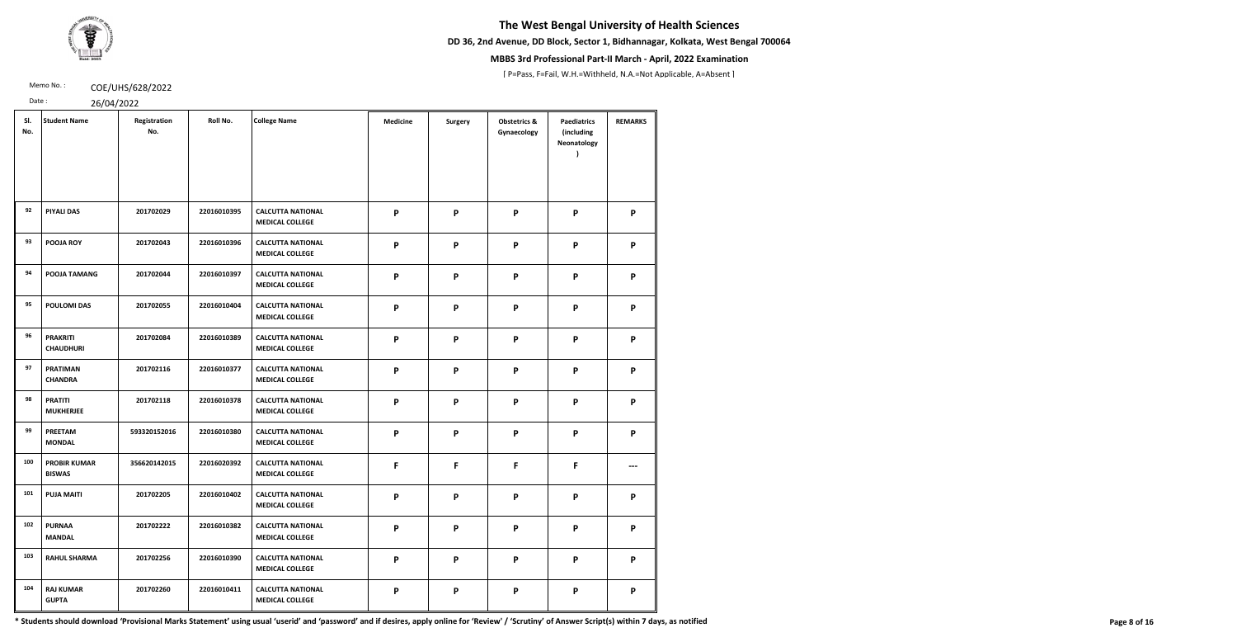**DD 36, 2nd Avenue, DD Block, Sector 1, Bidhannagar, Kolkata, West Bengal 700064**



## **MBBS 3rd Professional Part-II March - April, 2022 Examination**

[ P=Pass, F=Fail, W.H.=Withheld, N.A.=Not Applicable, A=Absent ]

Memo No.: **COE/UHS/628/2022** 

Date : 26/04/2022

| SI.<br>No. | <b>Student Name</b>                  | Registration<br>No. | Roll No.    | <b>College Name</b>                                | <b>Medicine</b>           | <b>Surgery</b>            | <b>Obstetrics &amp;</b><br>Gynaecology | <b>Paediatrics</b><br>(including<br>Neonatology | <b>REMARKS</b> |
|------------|--------------------------------------|---------------------|-------------|----------------------------------------------------|---------------------------|---------------------------|----------------------------------------|-------------------------------------------------|----------------|
| 92         | <b>PIYALI DAS</b>                    | 201702029           | 22016010395 | <b>CALCUTTA NATIONAL</b><br><b>MEDICAL COLLEGE</b> | P                         | $\boldsymbol{\mathsf{P}}$ | P                                      | P                                               | P              |
| 93         | <b>POOJA ROY</b>                     | 201702043           | 22016010396 | <b>CALCUTTA NATIONAL</b><br><b>MEDICAL COLLEGE</b> | P                         | P                         | P                                      | P                                               | P              |
| 94         | POOJA TAMANG                         | 201702044           | 22016010397 | <b>CALCUTTA NATIONAL</b><br><b>MEDICAL COLLEGE</b> | P                         | P                         | P                                      | P                                               | P              |
| 95         | <b>POULOMI DAS</b>                   | 201702055           | 22016010404 | <b>CALCUTTA NATIONAL</b><br><b>MEDICAL COLLEGE</b> | P                         | $\boldsymbol{\mathsf{P}}$ | P                                      | P                                               | P              |
| 96         | <b>PRAKRITI</b><br><b>CHAUDHURI</b>  | 201702084           | 22016010389 | <b>CALCUTTA NATIONAL</b><br><b>MEDICAL COLLEGE</b> | P                         | $\boldsymbol{\mathsf{P}}$ | P                                      | P                                               | P              |
| 97         | <b>PRATIMAN</b><br><b>CHANDRA</b>    | 201702116           | 22016010377 | <b>CALCUTTA NATIONAL</b><br><b>MEDICAL COLLEGE</b> | P                         | $\boldsymbol{\mathsf{P}}$ | P                                      | P                                               | P              |
| 98         | <b>PRATITI</b><br><b>MUKHERJEE</b>   | 201702118           | 22016010378 | <b>CALCUTTA NATIONAL</b><br><b>MEDICAL COLLEGE</b> | P                         | P                         | P                                      | P                                               | P              |
| 99         | <b>PREETAM</b><br><b>MONDAL</b>      | 593320152016        | 22016010380 | <b>CALCUTTA NATIONAL</b><br><b>MEDICAL COLLEGE</b> | P                         | $\boldsymbol{\mathsf{P}}$ | P                                      | P                                               | P              |
| 100        | <b>PROBIR KUMAR</b><br><b>BISWAS</b> | 356620142015        | 22016020392 | <b>CALCUTTA NATIONAL</b><br><b>MEDICAL COLLEGE</b> | F                         | F                         | F                                      | F                                               |                |
| 101        | <b>PUJA MAITI</b>                    | 201702205           | 22016010402 | <b>CALCUTTA NATIONAL</b><br><b>MEDICAL COLLEGE</b> | P                         | P                         | P                                      | P                                               | P              |
| 102        | <b>PURNAA</b><br><b>MANDAL</b>       | 201702222           | 22016010382 | <b>CALCUTTA NATIONAL</b><br><b>MEDICAL COLLEGE</b> | P                         | P                         | P                                      | P                                               | P              |
| 103        | <b>RAHUL SHARMA</b>                  | 201702256           | 22016010390 | <b>CALCUTTA NATIONAL</b><br><b>MEDICAL COLLEGE</b> | P                         | $\boldsymbol{\mathsf{P}}$ | P                                      | P                                               | P              |
| 104        | <b>RAJ KUMAR</b><br><b>GUPTA</b>     | 201702260           | 22016010411 | <b>CALCUTTA NATIONAL</b><br><b>MEDICAL COLLEGE</b> | $\boldsymbol{\mathsf{P}}$ | $\boldsymbol{\mathsf{P}}$ | P                                      | P                                               | P              |

\* Students should download 'Provisional Marks Statement' using usual 'userid' and 'password' and if desires, apply online for 'Review' / 'Scrutiny' of Answer Script(s) within 7 days, as notified Page 8 of 16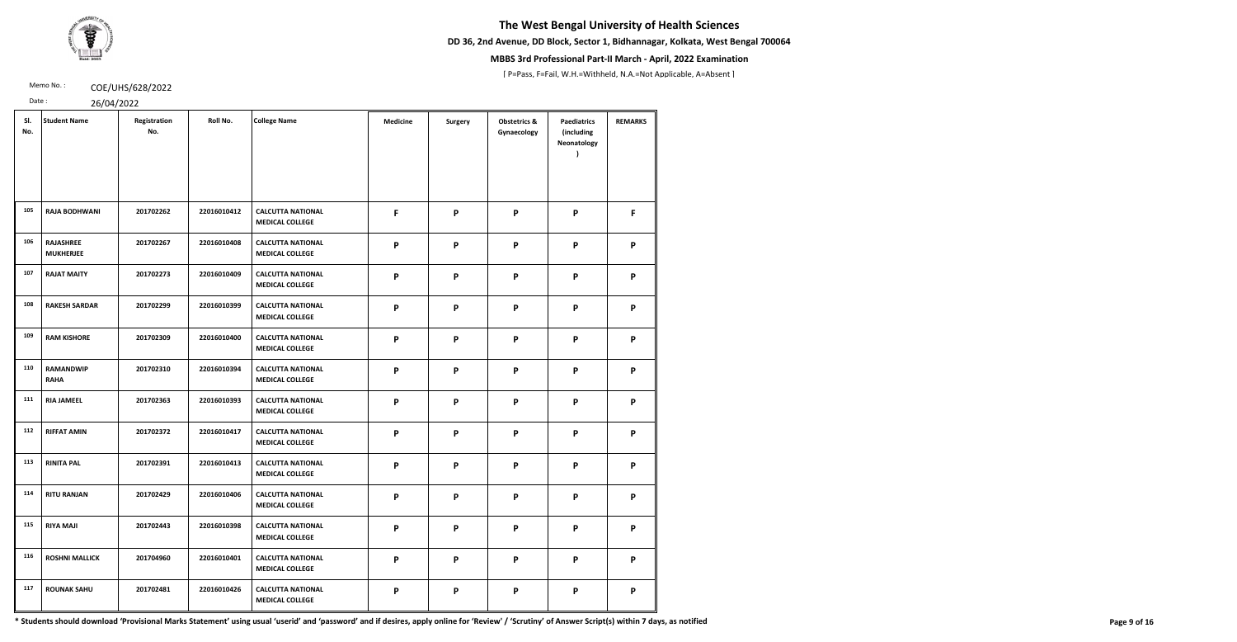**DD 36, 2nd Avenue, DD Block, Sector 1, Bidhannagar, Kolkata, West Bengal 700064**



## **MBBS 3rd Professional Part-II March - April, 2022 Examination**

[ P=Pass, F=Fail, W.H.=Withheld, N.A.=Not Applicable, A=Absent ]

Memo No.: **COE/UHS/628/2022** 

Date : 26/04/2022

|  | 20/201/2022 |
|--|-------------|

| SI.<br>No. | <b>Student Name</b>                  | Registration<br>No. | Roll No.    | <b>College Name</b>                                | <b>Medicine</b> | <b>Surgery</b> | <b>Obstetrics &amp;</b><br>Gynaecology | <b>Paediatrics</b><br>(including<br>Neonatology | <b>REMARKS</b> |
|------------|--------------------------------------|---------------------|-------------|----------------------------------------------------|-----------------|----------------|----------------------------------------|-------------------------------------------------|----------------|
| 105        | <b>RAJA BODHWANI</b>                 | 201702262           | 22016010412 | <b>CALCUTTA NATIONAL</b><br><b>MEDICAL COLLEGE</b> | F               | P              | P                                      | P                                               | F.             |
| 106        | <b>RAJASHREE</b><br><b>MUKHERJEE</b> | 201702267           | 22016010408 | <b>CALCUTTA NATIONAL</b><br><b>MEDICAL COLLEGE</b> | P               | P              | P                                      | P                                               | P              |
| 107        | <b>RAJAT MAITY</b>                   | 201702273           | 22016010409 | <b>CALCUTTA NATIONAL</b><br><b>MEDICAL COLLEGE</b> | P               | P              | P                                      | P                                               | P              |
| 108        | <b>RAKESH SARDAR</b>                 | 201702299           | 22016010399 | <b>CALCUTTA NATIONAL</b><br><b>MEDICAL COLLEGE</b> | P               | P              | P                                      | P                                               | P              |
| 109        | <b>RAM KISHORE</b>                   | 201702309           | 22016010400 | <b>CALCUTTA NATIONAL</b><br><b>MEDICAL COLLEGE</b> | P               | P              | P                                      | P                                               | P              |
| 110        | <b>RAMANDWIP</b><br><b>RAHA</b>      | 201702310           | 22016010394 | <b>CALCUTTA NATIONAL</b><br><b>MEDICAL COLLEGE</b> | P               | P              | P                                      | P                                               | P              |
| 111        | <b>RIA JAMEEL</b>                    | 201702363           | 22016010393 | <b>CALCUTTA NATIONAL</b><br><b>MEDICAL COLLEGE</b> | P               | P              | P                                      | P                                               | P              |
| 112        | <b>RIFFAT AMIN</b>                   | 201702372           | 22016010417 | <b>CALCUTTA NATIONAL</b><br><b>MEDICAL COLLEGE</b> | P               | P              | P                                      | P                                               | P              |
| 113        | <b>RINITA PAL</b>                    | 201702391           | 22016010413 | <b>CALCUTTA NATIONAL</b><br><b>MEDICAL COLLEGE</b> | P               | P              | P                                      | P                                               | P              |
| 114        | <b>RITU RANJAN</b>                   | 201702429           | 22016010406 | <b>CALCUTTA NATIONAL</b><br><b>MEDICAL COLLEGE</b> | P               | P              | P                                      | P                                               | P              |
| 115        | <b>RIYA MAJI</b>                     | 201702443           | 22016010398 | <b>CALCUTTA NATIONAL</b><br><b>MEDICAL COLLEGE</b> | P               | P              | P                                      | P                                               | P              |
| 116        | <b>ROSHNI MALLICK</b>                | 201704960           | 22016010401 | <b>CALCUTTA NATIONAL</b><br><b>MEDICAL COLLEGE</b> | P               | P              | P                                      | P                                               | P              |
| 117        | <b>ROUNAK SAHU</b>                   | 201702481           | 22016010426 | <b>CALCUTTA NATIONAL</b><br><b>MEDICAL COLLEGE</b> | P               | P              | P                                      | P                                               | P              |

\* Students should download 'Provisional Marks Statement' using usual 'userid' and 'password' and if desires, apply online for 'Review' / 'Scrutiny' of Answer Script(s) within 7 days, as notified Page 9 of 16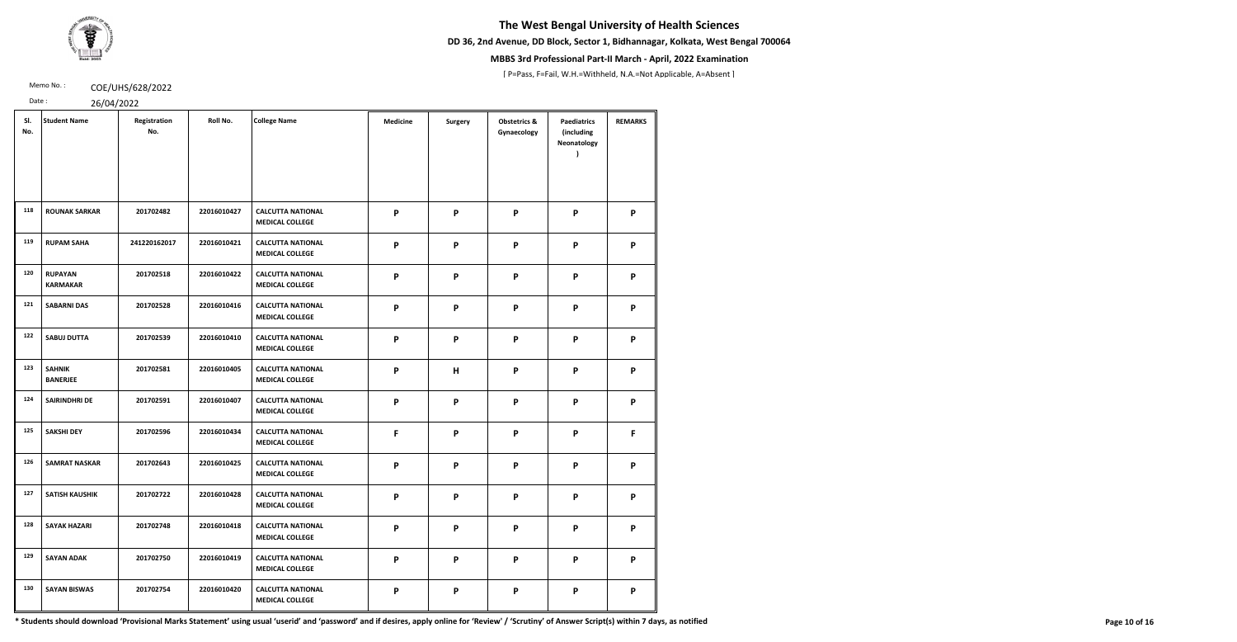**DD 36, 2nd Avenue, DD Block, Sector 1, Bidhannagar, Kolkata, West Bengal 700064**



## **MBBS 3rd Professional Part-II March - April, 2022 Examination**

[ P=Pass, F=Fail, W.H.=Withheld, N.A.=Not Applicable, A=Absent ]

Memo No.: **COE/UHS/628/2022** 

Date : 26/04/2022

| SI.<br>No. | <b>Student Name</b>               | Registration<br>No. | Roll No.    | <b>College Name</b>                                | <b>Medicine</b> | <b>Surgery</b> | <b>Obstetrics &amp;</b><br>Gynaecology | <b>Paediatrics</b><br>(including<br>Neonatology | <b>REMARKS</b> |
|------------|-----------------------------------|---------------------|-------------|----------------------------------------------------|-----------------|----------------|----------------------------------------|-------------------------------------------------|----------------|
| 118        | <b>ROUNAK SARKAR</b>              | 201702482           | 22016010427 | <b>CALCUTTA NATIONAL</b><br><b>MEDICAL COLLEGE</b> | P               | P              | P                                      | P                                               | P              |
| 119        | <b>RUPAM SAHA</b>                 | 241220162017        | 22016010421 | <b>CALCUTTA NATIONAL</b><br><b>MEDICAL COLLEGE</b> | P               | P              | P                                      | P                                               | P              |
| 120        | <b>RUPAYAN</b><br><b>KARMAKAR</b> | 201702518           | 22016010422 | <b>CALCUTTA NATIONAL</b><br><b>MEDICAL COLLEGE</b> | P               | $\mathsf{P}$   | P                                      | $\boldsymbol{\mathsf{P}}$                       | P              |
| 121        | <b>SABARNI DAS</b>                | 201702528           | 22016010416 | <b>CALCUTTA NATIONAL</b><br><b>MEDICAL COLLEGE</b> | P               | P              | P                                      | P                                               | P              |
| 122        | <b>SABUJ DUTTA</b>                | 201702539           | 22016010410 | <b>CALCUTTA NATIONAL</b><br><b>MEDICAL COLLEGE</b> | P               | P              | P                                      | P                                               | P              |
| 123        | <b>SAHNIK</b><br><b>BANERJEE</b>  | 201702581           | 22016010405 | <b>CALCUTTA NATIONAL</b><br><b>MEDICAL COLLEGE</b> | P               | H              | P                                      | P                                               | P              |
| 124        | <b>SAIRINDHRI DE</b>              | 201702591           | 22016010407 | <b>CALCUTTA NATIONAL</b><br><b>MEDICAL COLLEGE</b> | P               | P              | P                                      | $\boldsymbol{\mathsf{P}}$                       | P              |
| 125        | <b>SAKSHI DEY</b>                 | 201702596           | 22016010434 | <b>CALCUTTA NATIONAL</b><br><b>MEDICAL COLLEGE</b> | F               | P              | P                                      | P                                               | F              |
| 126        | <b>SAMRAT NASKAR</b>              | 201702643           | 22016010425 | <b>CALCUTTA NATIONAL</b><br><b>MEDICAL COLLEGE</b> | P               | P              | P                                      | P                                               | P              |
| 127        | <b>SATISH KAUSHIK</b>             | 201702722           | 22016010428 | <b>CALCUTTA NATIONAL</b><br><b>MEDICAL COLLEGE</b> | P               | P              | P                                      | P                                               | P              |
| 128        | <b>SAYAK HAZARI</b>               | 201702748           | 22016010418 | <b>CALCUTTA NATIONAL</b><br><b>MEDICAL COLLEGE</b> | P               | P              | P                                      | P                                               | P              |
| 129        | <b>SAYAN ADAK</b>                 | 201702750           | 22016010419 | <b>CALCUTTA NATIONAL</b><br><b>MEDICAL COLLEGE</b> | P               | P              | P                                      | P                                               | P              |
| 130        | <b>SAYAN BISWAS</b>               | 201702754           | 22016010420 | <b>CALCUTTA NATIONAL</b><br><b>MEDICAL COLLEGE</b> | P               | P              | P                                      | P                                               | P              |

\* Students should download 'Provisional Marks Statement' using usual 'userid' and 'password' and if desires, apply online for 'Review' / 'Scrutiny' of Answer Script(s) within 7 days, as notified Page 10 of 16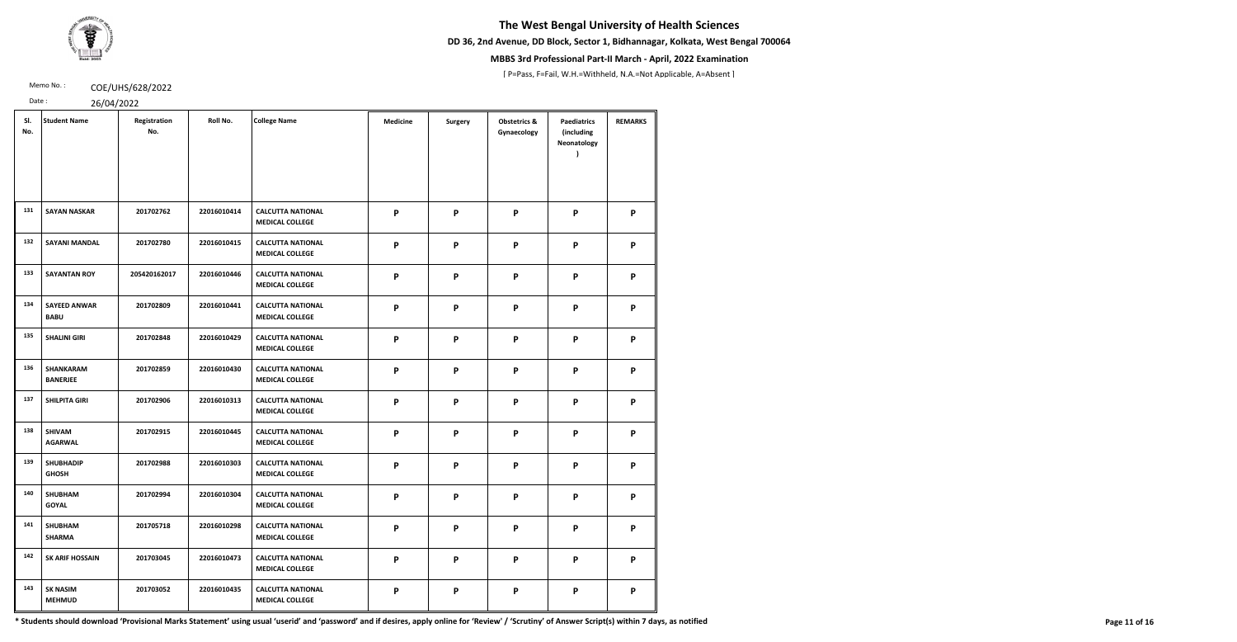**DD 36, 2nd Avenue, DD Block, Sector 1, Bidhannagar, Kolkata, West Bengal 700064**



## **MBBS 3rd Professional Part-II March - April, 2022 Examination**

[ P=Pass, F=Fail, W.H.=Withheld, N.A.=Not Applicable, A=Absent ]

Memo No.: **COE/UHS/628/2022** 

Date : 26/04/2022

|  |  | 20101 |  |
|--|--|-------|--|

| SI.<br>No. | <b>Student Name</b>                 | Registration<br>No. | Roll No.    | <b>College Name</b>                                | <b>Medicine</b> | <b>Surgery</b> | <b>Obstetrics &amp;</b><br>Gynaecology | <b>Paediatrics</b><br>(including<br>Neonatology | <b>REMARKS</b> |
|------------|-------------------------------------|---------------------|-------------|----------------------------------------------------|-----------------|----------------|----------------------------------------|-------------------------------------------------|----------------|
| 131        | <b>SAYAN NASKAR</b>                 | 201702762           | 22016010414 | <b>CALCUTTA NATIONAL</b><br><b>MEDICAL COLLEGE</b> | P               | P              | P                                      | P                                               | P              |
| 132        | <b>SAYANI MANDAL</b>                | 201702780           | 22016010415 | <b>CALCUTTA NATIONAL</b><br><b>MEDICAL COLLEGE</b> | P               | P              | P                                      | P                                               | P              |
| 133        | <b>SAYANTAN ROY</b>                 | 205420162017        | 22016010446 | <b>CALCUTTA NATIONAL</b><br><b>MEDICAL COLLEGE</b> | P               | P              | P                                      | P                                               | P              |
| 134        | <b>SAYEED ANWAR</b><br><b>BABU</b>  | 201702809           | 22016010441 | <b>CALCUTTA NATIONAL</b><br><b>MEDICAL COLLEGE</b> | P               | P              | $\boldsymbol{\mathsf{P}}$              | $\boldsymbol{\mathsf{P}}$                       | P              |
| 135        | <b>SHALINI GIRI</b>                 | 201702848           | 22016010429 | <b>CALCUTTA NATIONAL</b><br><b>MEDICAL COLLEGE</b> | P               | P              | P                                      | P                                               | P              |
| 136        | <b>SHANKARAM</b><br><b>BANERJEE</b> | 201702859           | 22016010430 | <b>CALCUTTA NATIONAL</b><br><b>MEDICAL COLLEGE</b> | P               | P              | P                                      | $\boldsymbol{\mathsf{P}}$                       | P              |
| 137        | <b>SHILPITA GIRI</b>                | 201702906           | 22016010313 | <b>CALCUTTA NATIONAL</b><br><b>MEDICAL COLLEGE</b> | P               | P              | P                                      | $\boldsymbol{\mathsf{P}}$                       | P              |
| 138        | <b>SHIVAM</b><br><b>AGARWAL</b>     | 201702915           | 22016010445 | <b>CALCUTTA NATIONAL</b><br><b>MEDICAL COLLEGE</b> | P               | $\mathsf{P}$   | P                                      | $\boldsymbol{\mathsf{P}}$                       | P              |
| 139        | <b>SHUBHADIP</b><br><b>GHOSH</b>    | 201702988           | 22016010303 | <b>CALCUTTA NATIONAL</b><br><b>MEDICAL COLLEGE</b> | P               | P              | P                                      | P                                               | P              |
| 140        | <b>SHUBHAM</b><br><b>GOYAL</b>      | 201702994           | 22016010304 | <b>CALCUTTA NATIONAL</b><br><b>MEDICAL COLLEGE</b> | P               | P              | P                                      | P                                               | P              |
| 141        | <b>SHUBHAM</b><br><b>SHARMA</b>     | 201705718           | 22016010298 | <b>CALCUTTA NATIONAL</b><br><b>MEDICAL COLLEGE</b> | P               | P              | P                                      | P                                               | P              |
| 142        | <b>SK ARIF HOSSAIN</b>              | 201703045           | 22016010473 | <b>CALCUTTA NATIONAL</b><br><b>MEDICAL COLLEGE</b> | P               | P              | P                                      | P                                               | P              |
| 143        | <b>SK NASIM</b><br><b>MEHMUD</b>    | 201703052           | 22016010435 | <b>CALCUTTA NATIONAL</b><br><b>MEDICAL COLLEGE</b> | P               | P              | P                                      | P                                               | P              |

\* Students should download 'Provisional Marks Statement' using usual 'userid' and 'password' and if desires, apply online for 'Review' / 'Scrutiny' of Answer Script(s) within 7 days, as notified Page 11 of 16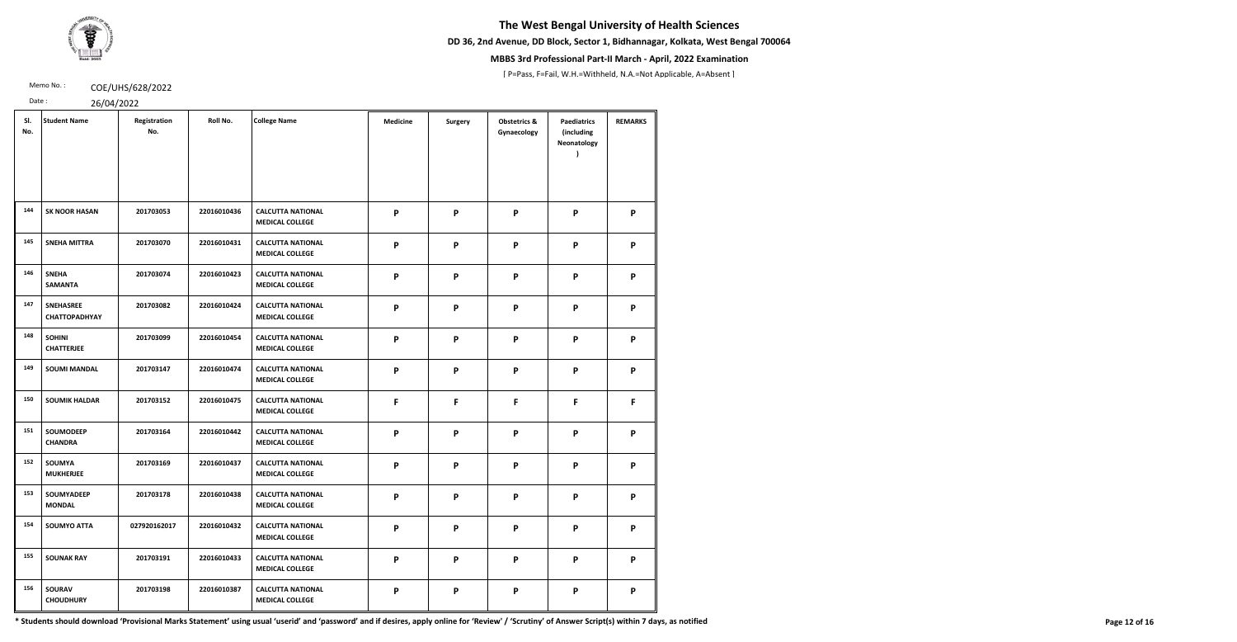**DD 36, 2nd Avenue, DD Block, Sector 1, Bidhannagar, Kolkata, West Bengal 700064**



## **MBBS 3rd Professional Part-II March - April, 2022 Examination**

[ P=Pass, F=Fail, W.H.=Withheld, N.A.=Not Applicable, A=Absent ]

Memo No.: **COE/UHS/628/2022** 

Date : 26/04/2022

|  | 20/21 |  |
|--|-------|--|

| SI.<br>No. | <b>Student Name</b>                      | Registration<br>No. | Roll No.    | <b>College Name</b>                                | <b>Medicine</b> | <b>Surgery</b> | <b>Obstetrics &amp;</b><br>Gynaecology | <b>Paediatrics</b><br>(including<br>Neonatology | <b>REMARKS</b> |
|------------|------------------------------------------|---------------------|-------------|----------------------------------------------------|-----------------|----------------|----------------------------------------|-------------------------------------------------|----------------|
| 144        | <b>SK NOOR HASAN</b>                     | 201703053           | 22016010436 | <b>CALCUTTA NATIONAL</b><br><b>MEDICAL COLLEGE</b> | P               | P              | P                                      | P                                               | P              |
| 145        | <b>SNEHA MITTRA</b>                      | 201703070           | 22016010431 | <b>CALCUTTA NATIONAL</b><br><b>MEDICAL COLLEGE</b> | P               | P              | P                                      | P                                               | P              |
| 146        | <b>SNEHA</b><br><b>SAMANTA</b>           | 201703074           | 22016010423 | <b>CALCUTTA NATIONAL</b><br><b>MEDICAL COLLEGE</b> | P               | P              | P                                      | P                                               | P              |
| 147        | <b>SNEHASREE</b><br><b>CHATTOPADHYAY</b> | 201703082           | 22016010424 | <b>CALCUTTA NATIONAL</b><br><b>MEDICAL COLLEGE</b> | P               | P              | P                                      | P                                               | P              |
| 148        | <b>SOHINI</b><br><b>CHATTERJEE</b>       | 201703099           | 22016010454 | <b>CALCUTTA NATIONAL</b><br><b>MEDICAL COLLEGE</b> | P               | P              | P                                      | P                                               | P              |
| 149        | <b>SOUMI MANDAL</b>                      | 201703147           | 22016010474 | <b>CALCUTTA NATIONAL</b><br><b>MEDICAL COLLEGE</b> | P               | P              | P                                      | $\boldsymbol{\mathsf{P}}$                       | P              |
| 150        | <b>SOUMIK HALDAR</b>                     | 201703152           | 22016010475 | <b>CALCUTTA NATIONAL</b><br><b>MEDICAL COLLEGE</b> | F               | F              | F                                      | F                                               | F.             |
| 151        | <b>SOUMODEEP</b><br><b>CHANDRA</b>       | 201703164           | 22016010442 | <b>CALCUTTA NATIONAL</b><br><b>MEDICAL COLLEGE</b> | P               | P              | P                                      | P                                               | P              |
| 152        | SOUMYA<br><b>MUKHERJEE</b>               | 201703169           | 22016010437 | <b>CALCUTTA NATIONAL</b><br><b>MEDICAL COLLEGE</b> | P               | P              | P                                      | P                                               | P              |
| 153        | SOUMYADEEP<br><b>MONDAL</b>              | 201703178           | 22016010438 | <b>CALCUTTA NATIONAL</b><br><b>MEDICAL COLLEGE</b> | P               | P              | P                                      | P                                               | P              |
| 154        | <b>SOUMYO ATTA</b>                       | 027920162017        | 22016010432 | <b>CALCUTTA NATIONAL</b><br><b>MEDICAL COLLEGE</b> | P               | P              | P                                      | P                                               | P              |
| 155        | <b>SOUNAK RAY</b>                        | 201703191           | 22016010433 | <b>CALCUTTA NATIONAL</b><br><b>MEDICAL COLLEGE</b> | P               | P              | P                                      | P                                               | P              |
| 156        | <b>SOURAV</b><br><b>CHOUDHURY</b>        | 201703198           | 22016010387 | <b>CALCUTTA NATIONAL</b><br><b>MEDICAL COLLEGE</b> | P               | P              | P                                      | P                                               | P              |

\* Students should download 'Provisional Marks Statement' using usual 'userid' and 'password' and if desires, apply online for 'Review' / 'Scrutiny' of Answer Script(s) within 7 days, as notified Page 12 of 16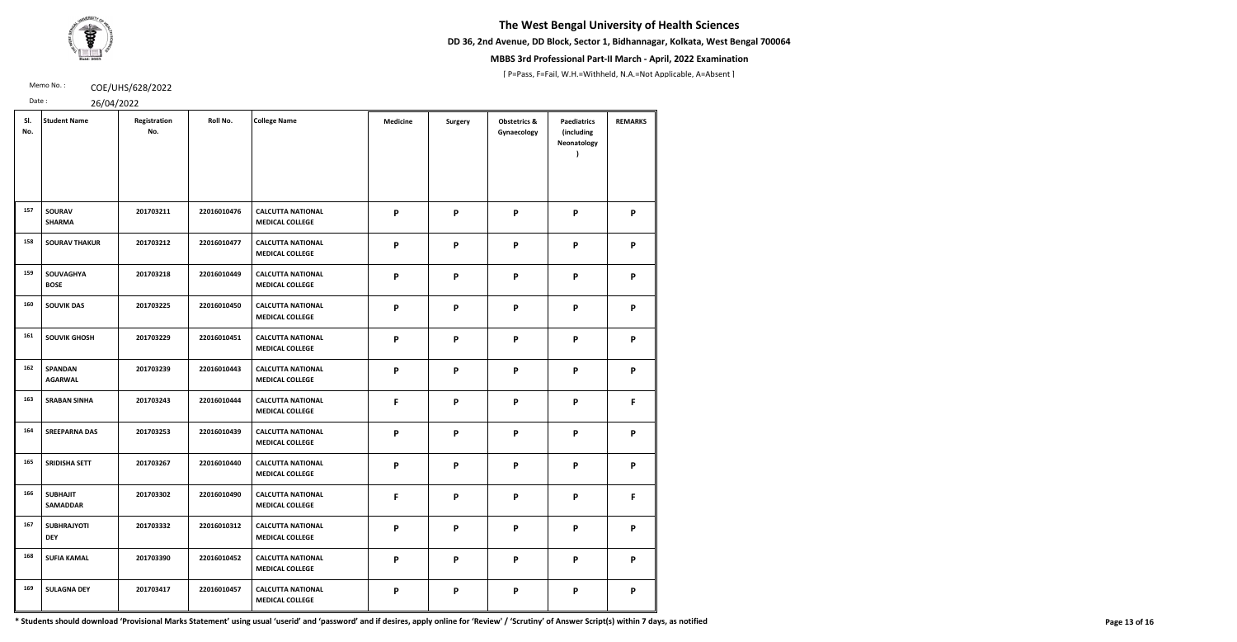**DD 36, 2nd Avenue, DD Block, Sector 1, Bidhannagar, Kolkata, West Bengal 700064**



## **MBBS 3rd Professional Part-II March - April, 2022 Examination**

[ P=Pass, F=Fail, W.H.=Withheld, N.A.=Not Applicable, A=Absent ]

Memo No.: **COE/UHS/628/2022** 

Date : 26/04/2022

| SI.<br>No. | <b>Student Name</b>                | Registration<br>No. | Roll No.    | <b>College Name</b>                                | <b>Medicine</b>           | <b>Surgery</b> | <b>Obstetrics &amp;</b><br>Gynaecology | <b>Paediatrics</b><br>(including<br>Neonatology | <b>REMARKS</b> |
|------------|------------------------------------|---------------------|-------------|----------------------------------------------------|---------------------------|----------------|----------------------------------------|-------------------------------------------------|----------------|
| 157        | <b>SOURAV</b><br><b>SHARMA</b>     | 201703211           | 22016010476 | <b>CALCUTTA NATIONAL</b><br><b>MEDICAL COLLEGE</b> | P                         | P              | P                                      | P                                               | P              |
| 158        | <b>SOURAV THAKUR</b>               | 201703212           | 22016010477 | <b>CALCUTTA NATIONAL</b><br><b>MEDICAL COLLEGE</b> | P                         | P              | P                                      | P                                               | P              |
| 159        | <b>SOUVAGHYA</b><br><b>BOSE</b>    | 201703218           | 22016010449 | <b>CALCUTTA NATIONAL</b><br><b>MEDICAL COLLEGE</b> | P                         | P              | P                                      | P                                               | P              |
| 160        | <b>SOUVIK DAS</b>                  | 201703225           | 22016010450 | <b>CALCUTTA NATIONAL</b><br><b>MEDICAL COLLEGE</b> | P                         | P              | P                                      | P                                               | P              |
| 161        | <b>SOUVIK GHOSH</b>                | 201703229           | 22016010451 | <b>CALCUTTA NATIONAL</b><br><b>MEDICAL COLLEGE</b> | P                         | P              | P                                      | P                                               | P              |
| 162        | <b>SPANDAN</b><br><b>AGARWAL</b>   | 201703239           | 22016010443 | <b>CALCUTTA NATIONAL</b><br><b>MEDICAL COLLEGE</b> | $\boldsymbol{\mathsf{P}}$ | P              | P                                      | P                                               | P              |
| 163        | <b>SRABAN SINHA</b>                | 201703243           | 22016010444 | <b>CALCUTTA NATIONAL</b><br><b>MEDICAL COLLEGE</b> | F                         | P              | P                                      | P                                               | F              |
| 164        | <b>SREEPARNA DAS</b>               | 201703253           | 22016010439 | <b>CALCUTTA NATIONAL</b><br><b>MEDICAL COLLEGE</b> | P                         | P              | P                                      | P                                               | P              |
| 165        | <b>SRIDISHA SETT</b>               | 201703267           | 22016010440 | <b>CALCUTTA NATIONAL</b><br><b>MEDICAL COLLEGE</b> | P                         | P              | P                                      | P                                               | P              |
| 166        | <b>SUBHAJIT</b><br><b>SAMADDAR</b> | 201703302           | 22016010490 | <b>CALCUTTA NATIONAL</b><br><b>MEDICAL COLLEGE</b> | F                         | P              | P                                      | P                                               | F              |
| 167        | <b>SUBHRAJYOTI</b><br><b>DEY</b>   | 201703332           | 22016010312 | <b>CALCUTTA NATIONAL</b><br><b>MEDICAL COLLEGE</b> | P                         | P              | P                                      | P                                               | P              |
| 168        | <b>SUFIA KAMAL</b>                 | 201703390           | 22016010452 | <b>CALCUTTA NATIONAL</b><br><b>MEDICAL COLLEGE</b> | P                         | P              | P                                      | P                                               | P              |
| 169        | <b>SULAGNA DEY</b>                 | 201703417           | 22016010457 | <b>CALCUTTA NATIONAL</b><br><b>MEDICAL COLLEGE</b> | P                         | P              | P                                      | P                                               | P              |

\* Students should download 'Provisional Marks Statement' using usual 'userid' and 'password' and if desires, apply online for 'Review' / 'Scrutiny' of Answer Script(s) within 7 days, as notified Page 13 of 16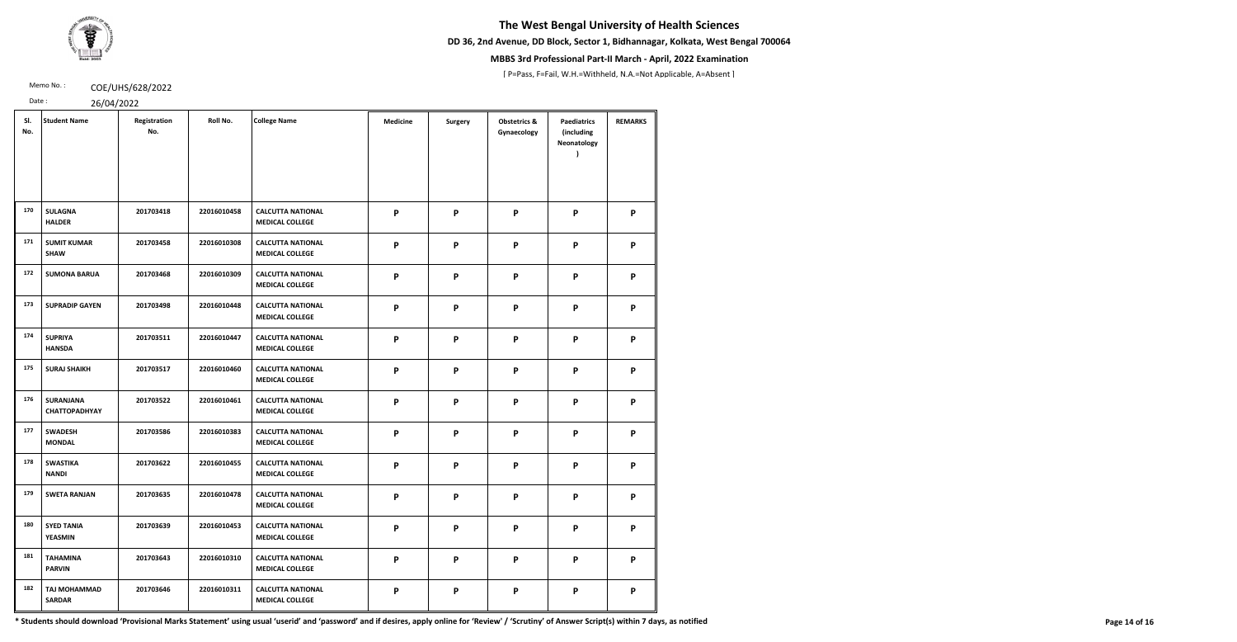**DD 36, 2nd Avenue, DD Block, Sector 1, Bidhannagar, Kolkata, West Bengal 700064**



## **MBBS 3rd Professional Part-II March - April, 2022 Examination**

[ P=Pass, F=Fail, W.H.=Withheld, N.A.=Not Applicable, A=Absent ]

Memo No.: **COE/UHS/628/2022** 

Date : 26/04/2022

|  | 20101 |  |
|--|-------|--|

| SI.<br>No. | <b>Student Name</b>                      | Registration<br>No. | Roll No.    | <b>College Name</b>                                | <b>Medicine</b> | <b>Surgery</b> | <b>Obstetrics &amp;</b><br>Gynaecology | <b>Paediatrics</b><br>(including<br>Neonatology | <b>REMARKS</b> |
|------------|------------------------------------------|---------------------|-------------|----------------------------------------------------|-----------------|----------------|----------------------------------------|-------------------------------------------------|----------------|
| 170        | <b>SULAGNA</b><br><b>HALDER</b>          | 201703418           | 22016010458 | <b>CALCUTTA NATIONAL</b><br><b>MEDICAL COLLEGE</b> | P               | P              | P                                      | P                                               | P              |
| 171        | <b>SUMIT KUMAR</b><br><b>SHAW</b>        | 201703458           | 22016010308 | <b>CALCUTTA NATIONAL</b><br><b>MEDICAL COLLEGE</b> | P               | P              | P                                      | P                                               | P              |
| 172        | <b>SUMONA BARUA</b>                      | 201703468           | 22016010309 | <b>CALCUTTA NATIONAL</b><br><b>MEDICAL COLLEGE</b> | P               | P              | P                                      | P                                               | P              |
| 173        | <b>SUPRADIP GAYEN</b>                    | 201703498           | 22016010448 | <b>CALCUTTA NATIONAL</b><br><b>MEDICAL COLLEGE</b> | P               | P              | P                                      | P                                               | P              |
| 174        | <b>SUPRIYA</b><br><b>HANSDA</b>          | 201703511           | 22016010447 | <b>CALCUTTA NATIONAL</b><br><b>MEDICAL COLLEGE</b> | P               | P              | P                                      | P                                               | P              |
| 175        | <b>SURAJ SHAIKH</b>                      | 201703517           | 22016010460 | <b>CALCUTTA NATIONAL</b><br><b>MEDICAL COLLEGE</b> | P               | P              | P                                      | P                                               | P              |
| 176        | <b>SURANJANA</b><br><b>CHATTOPADHYAY</b> | 201703522           | 22016010461 | <b>CALCUTTA NATIONAL</b><br><b>MEDICAL COLLEGE</b> | P               | P              | P                                      | P                                               | P              |
| 177        | <b>SWADESH</b><br><b>MONDAL</b>          | 201703586           | 22016010383 | <b>CALCUTTA NATIONAL</b><br><b>MEDICAL COLLEGE</b> | P               | P              | P                                      | P                                               | P              |
| 178        | <b>SWASTIKA</b><br><b>NANDI</b>          | 201703622           | 22016010455 | <b>CALCUTTA NATIONAL</b><br><b>MEDICAL COLLEGE</b> | P               | P              | P                                      | P                                               | P              |
| 179        | <b>SWETA RANJAN</b>                      | 201703635           | 22016010478 | <b>CALCUTTA NATIONAL</b><br><b>MEDICAL COLLEGE</b> | P               | P              | P                                      | P                                               | P              |
| 180        | <b>SYED TANIA</b><br>YEASMIN             | 201703639           | 22016010453 | <b>CALCUTTA NATIONAL</b><br><b>MEDICAL COLLEGE</b> | P               | P              | P                                      | P                                               | P              |
| 181        | <b>TAHAMINA</b><br><b>PARVIN</b>         | 201703643           | 22016010310 | <b>CALCUTTA NATIONAL</b><br><b>MEDICAL COLLEGE</b> | P               | P              | P                                      | P                                               | P              |
| 182        | <b>TAJ MOHAMMAD</b><br><b>SARDAR</b>     | 201703646           | 22016010311 | <b>CALCUTTA NATIONAL</b><br><b>MEDICAL COLLEGE</b> | P               | P              | P                                      | P                                               | P              |

\* Students should download 'Provisional Marks Statement' using usual 'userid' and 'password' and if desires, apply online for 'Review' / 'Scrutiny' of Answer Script(s) within 7 days, as notified Page 14 of 16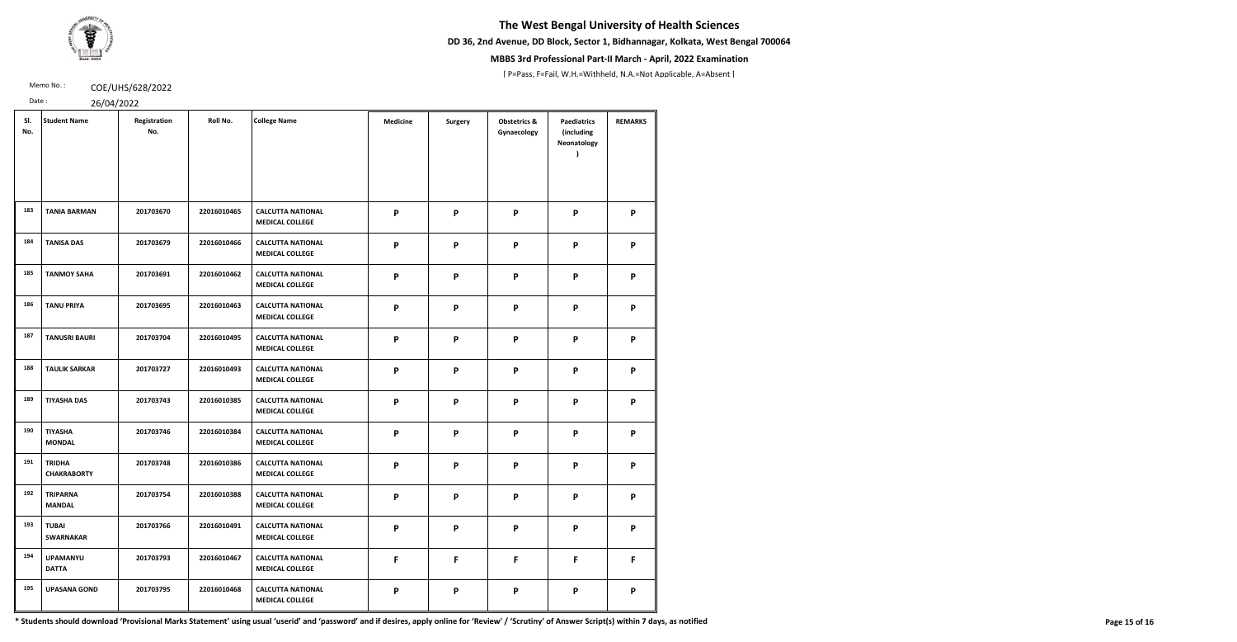**DD 36, 2nd Avenue, DD Block, Sector 1, Bidhannagar, Kolkata, West Bengal 700064**



## **MBBS 3rd Professional Part-II March - April, 2022 Examination**

[ P=Pass, F=Fail, W.H.=Withheld, N.A.=Not Applicable, A=Absent ]

Memo No.: **COE/UHS/628/2022** 

Date : 26/04/2022

| 20101 |  |  |  |
|-------|--|--|--|

| SI.<br>No. | <b>Student Name</b>                 | Registration<br>No. | Roll No.    | <b>College Name</b>                                | <b>Medicine</b>           | <b>Surgery</b> | <b>Obstetrics &amp;</b><br>Gynaecology | <b>Paediatrics</b><br>(including<br>Neonatology | <b>REMARKS</b> |
|------------|-------------------------------------|---------------------|-------------|----------------------------------------------------|---------------------------|----------------|----------------------------------------|-------------------------------------------------|----------------|
| 183        | <b>TANIA BARMAN</b>                 | 201703670           | 22016010465 | <b>CALCUTTA NATIONAL</b><br><b>MEDICAL COLLEGE</b> | P                         | P              | $\boldsymbol{\mathsf{P}}$              | P                                               | P              |
| 184        | <b>TANISA DAS</b>                   | 201703679           | 22016010466 | <b>CALCUTTA NATIONAL</b><br><b>MEDICAL COLLEGE</b> | P                         | P              | P                                      | P                                               | P              |
| 185        | <b>TANMOY SAHA</b>                  | 201703691           | 22016010462 | <b>CALCUTTA NATIONAL</b><br><b>MEDICAL COLLEGE</b> | $\mathsf{P}$              | P              | P                                      | P                                               | P              |
| 186        | <b>TANU PRIYA</b>                   | 201703695           | 22016010463 | <b>CALCUTTA NATIONAL</b><br><b>MEDICAL COLLEGE</b> | P                         | P              | P                                      | P                                               | P              |
| 187        | <b>TANUSRI BAURI</b>                | 201703704           | 22016010495 | <b>CALCUTTA NATIONAL</b><br><b>MEDICAL COLLEGE</b> | $\boldsymbol{\mathsf{P}}$ | P              | $\boldsymbol{\mathsf{P}}$              | P                                               | P              |
| 188        | <b>TAULIK SARKAR</b>                | 201703727           | 22016010493 | <b>CALCUTTA NATIONAL</b><br><b>MEDICAL COLLEGE</b> | P                         | P              | P                                      | P                                               | P              |
| 189        | <b>TIYASHA DAS</b>                  | 201703743           | 22016010385 | <b>CALCUTTA NATIONAL</b><br><b>MEDICAL COLLEGE</b> | $\mathsf{P}$              | $\mathsf{P}$   | P                                      | P                                               | P              |
| 190        | <b>TIYASHA</b><br><b>MONDAL</b>     | 201703746           | 22016010384 | <b>CALCUTTA NATIONAL</b><br><b>MEDICAL COLLEGE</b> | P                         | P              | P                                      | P                                               | P              |
| 191        | <b>TRIDHA</b><br><b>CHAKRABORTY</b> | 201703748           | 22016010386 | <b>CALCUTTA NATIONAL</b><br><b>MEDICAL COLLEGE</b> | P                         | P              | P                                      | P                                               | P              |
| 192        | <b>TRIPARNA</b><br><b>MANDAL</b>    | 201703754           | 22016010388 | <b>CALCUTTA NATIONAL</b><br><b>MEDICAL COLLEGE</b> | $\mathsf{P}$              | P              | $\mathsf{P}$                           | P                                               | P              |
| 193        | <b>TUBAI</b><br><b>SWARNAKAR</b>    | 201703766           | 22016010491 | <b>CALCUTTA NATIONAL</b><br><b>MEDICAL COLLEGE</b> | $\mathsf{P}$              | P              | P                                      | P                                               | P              |
| 194        | <b>UPAMANYU</b><br><b>DATTA</b>     | 201703793           | 22016010467 | <b>CALCUTTA NATIONAL</b><br><b>MEDICAL COLLEGE</b> | F                         | F              | F                                      | F                                               | F              |
| 195        | <b>UPASANA GOND</b>                 | 201703795           | 22016010468 | <b>CALCUTTA NATIONAL</b><br><b>MEDICAL COLLEGE</b> | $\mathsf{P}$              | $\mathsf{P}$   | P                                      | P                                               | P              |

\* Students should download 'Provisional Marks Statement' using usual 'userid' and 'password' and if desires, apply online for 'Review' / 'Scrutiny' of Answer Script(s) within 7 days, as notified Page 15 of 16